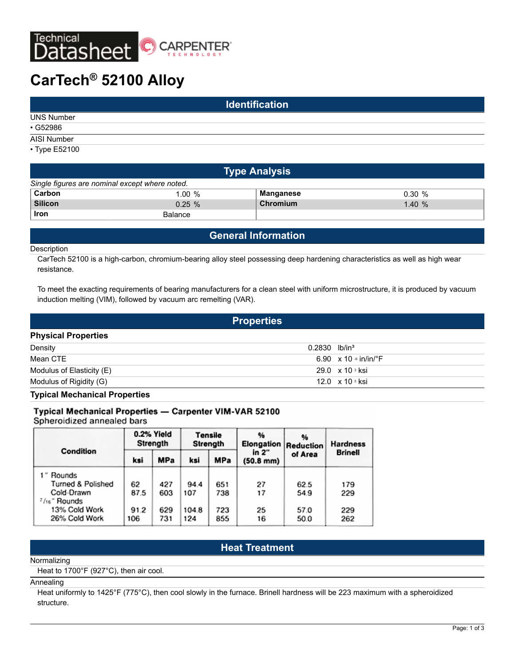

# **CarTech® 52100 Alloy**

| <b>Identification</b> |  |  |
|-----------------------|--|--|
| <b>UNS Number</b>     |  |  |
| $\cdot$ G52986        |  |  |
| AISI Number           |  |  |
| • Type E52100         |  |  |

| <b>Type Analysis</b>                           |                |           |       |  |
|------------------------------------------------|----------------|-----------|-------|--|
| Single figures are nominal except where noted. |                |           |       |  |
| Carbon                                         | 1.00%          | Manganese | 0.30% |  |
| <b>Silicon</b>                                 | $0.25 \%$      | Chromium  | 1.40% |  |
| Iron                                           | <b>Balance</b> |           |       |  |

# **General Information**

#### Description

CarTech 52100 is a high-carbon, chromium-bearing alloy steel possessing deep hardening characteristics as well as high wear resistance.

To meet the exacting requirements of bearing manufacturers for a clean steel with uniform microstructure, it is produced by vacuum induction melting (VIM), followed by vacuum arc remelting (VAR).

**Properties Physical Properties** Density **Density** 0.2830 lb/in<sup>3</sup> Mean CTE  $\overline{6.90} \times 10^{-6}$  in/in/ $\degree$ F Modulus of Elasticity (E) 29.0 x 10 s ksi Modulus of Rigidity (G) 12.0  $\,$  x 10  $\,$  ksi

**Typical Mechanical Properties**

#### Typical Mechanical Properties - Carpenter VIM-VAR 52100

Spheroidized annealed bars

|                   | 0.2% Yield<br>Strength          |                                  | <b>Tensile</b><br>Strength |                | 96<br>Elongation | %<br>Reduction | <b>Hardness</b> |
|-------------------|---------------------------------|----------------------------------|----------------------------|----------------|------------------|----------------|-----------------|
| Condition         | MPa<br><b>MPa</b><br>ksi<br>ksi | in $2"$<br>$(50.8 \, \text{mm})$ | of Area                    | <b>Brinell</b> |                  |                |                 |
| 1" Rounds         |                                 |                                  |                            |                |                  |                |                 |
| Turned & Polished | 62                              | 427                              | 94.4                       | 651            | 27               | 62.5           | 179             |
| Cold-Drawn        | 87.5                            | 603                              | 107                        | 738            | 17               | 54.9           | 229             |
| 7/16" Rounds      |                                 |                                  |                            |                |                  |                |                 |
| 13% Cold Work     | 91.2                            | 629                              | 104.8                      | 723            | 25               | 57.0           | 229             |
| 26% Cold Work     | 106                             | 731                              | 124                        | 855            | 16               | 50.0           | 262             |

# **Heat Treatment**

#### Normalizing

Heat to 1700°F (927°C), then air cool.

#### Annealing

Heat uniformly to 1425°F (775°C), then cool slowly in the furnace. Brinell hardness will be 223 maximum with a spheroidized structure.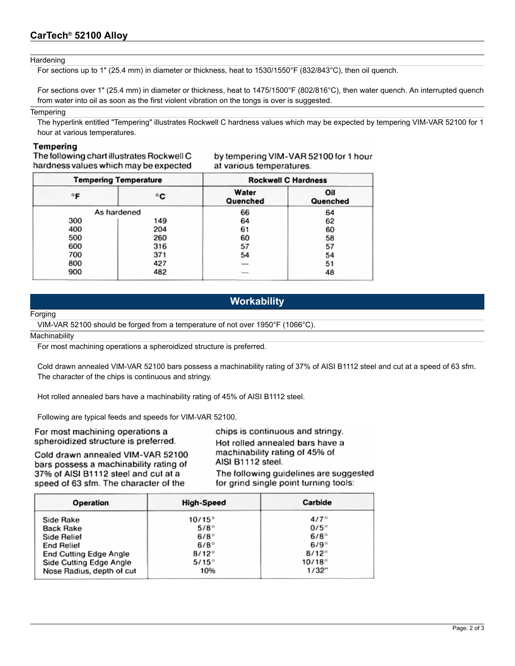#### **Hardening**

For sections up to 1" (25.4 mm) in diameter or thickness, heat to 1530/1550°F (832/843°C), then oil quench.

For sections over 1" (25.4 mm) in diameter or thickness, heat to 1475/1500°F (802/816°C), then water quench. An interrupted quench from water into oil as soon as the first violent vibration on the tongs is over is suggested.

#### **Tempering**

The hyperlink entitled "Tempering" illustrates Rockwell C hardness values which may be expected by tempering VIM-VAR 52100 for 1 hour at various temperatures.

### Tempering

The following chart illustrates Rockwell C hardness values which may be expected by tempering VIM-VAR 52100 for 1 hour at various temperatures.

| <b>Tempering Temperature</b> |     | <b>Rockwell C Hardness</b> |                 |  |
|------------------------------|-----|----------------------------|-----------------|--|
| °F                           | °€  | Water<br>Quenched          | Oil<br>Quenched |  |
| As hardened                  |     | 66                         | 64              |  |
| 300                          | 149 | 64                         | 62              |  |
| 400                          | 204 | 61                         | 60              |  |
| 500                          | 260 | 60                         | 58              |  |
| 600                          | 316 | 57                         | 57              |  |
| 700                          | 371 | 54                         | 54              |  |
| 800                          | 427 |                            | 51              |  |
| 900                          | 482 |                            | 48              |  |

# **Workability**

#### Forging

VIM-VAR 52100 should be forged from a temperature of not over 1950°F (1066°C).

#### **Machinability**

For most machining operations a spheroidized structure is preferred.

Cold drawn annealed VIM-VAR 52100 bars possess a machinability rating of 37% of AISI B1112 steel and cut at a speed of 63 sfm. The character of the chips is continuous and stringy.

Hot rolled annealed bars have a machinability rating of 45% of AISI B1112 steel.

Following are typical feeds and speeds for VIM-VAR 52100.

For most machining operations a spheroidized structure is preferred.

Cold drawn annealed VIM-VAR 52100 bars possess a machinability rating of 37% of AISI B1112 steel and cut at a speed of 63 sfm. The character of the

chips is continuous and stringy. Hot rolled annealed bars have a machinability rating of 45% of AISI B1112 steel. The following quidelines are suggested for grind single point turning tools:

| Operation                 | High-Speed      | Carbide         |
|---------------------------|-----------------|-----------------|
| Side Rake                 | $10/15^{\circ}$ | $4/7^{\circ}$   |
| Back Rake                 | $5/8^\circ$     | $0/5^\circ$     |
| Side Relief               | $6/8^\circ$     | $6/8^\circ$     |
| <b>End Relief</b>         | $6/8^\circ$     | $6/9^\circ$     |
| End Cutting Edge Angle    | $8/12^{\circ}$  | $8/12^{\circ}$  |
| Side Cutting Edge Angle   | $5/15^\circ$    | $10/18^{\circ}$ |
| Nose Radius, depth of cut | 10%             | 1/32"           |